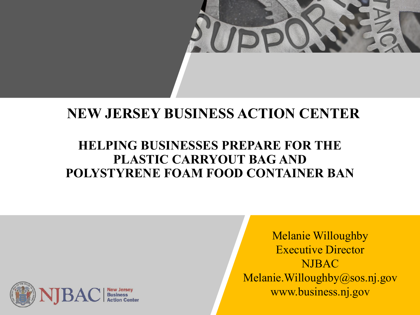

#### **NEW JERSEY BUSINESS ACTION CENTER**

#### **HELPING BUSINESSES PREPARE FOR THE PLASTIC CARRYOUT BAG AND POLYSTYRENE FOAM FOOD CONTAINER BAN**



Melanie Willoughby Executive Director NJBAC Melanie.Willoughby@sos.nj.gov www.business.nj.gov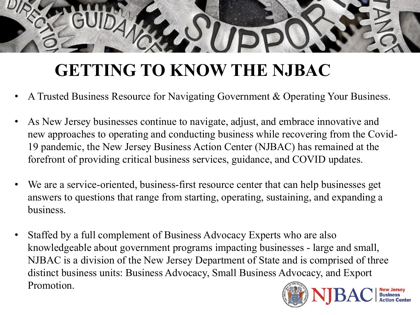# **GETTING TO KNOW THE NJBAC**

- A Trusted Business Resource for Navigating Government & Operating Your Business.
- As New Jersey businesses continue to navigate, adjust, and embrace innovative and new approaches to operating and conducting business while recovering from the Covid-19 pandemic, the New Jersey Business Action Center (NJBAC) has remained at the forefront of providing critical business services, guidance, and COVID updates.
- We are a service-oriented, business-first resource center that can help businesses get answers to questions that range from starting, operating, sustaining, and expanding a business.
- Staffed by a full complement of Business Advocacy Experts who are also knowledgeable about government programs impacting businesses - large and small, NJBAC is a division of the New Jersey Department of State and is comprised of three distinct business units: Business Advocacy, Small Business Advocacy, and Export Promotion.

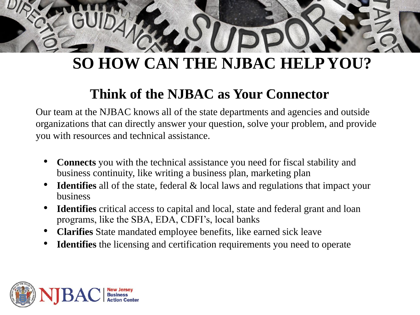# **SO HOW CAN THE NJBAC HELP YOU?**

#### **Think of the NJBAC as Your Connector**

Our team at the NJBAC knows all of the state departments and agencies and outside organizations that can directly answer your question, solve your problem, and provide you with resources and technical assistance.

- **Connects** you with the technical assistance you need for fiscal stability and business continuity, like writing a business plan, marketing plan
- **Identifies** all of the state, federal & local laws and regulations that impact your business
- **Identifies** critical access to capital and local, state and federal grant and loan programs, like the SBA, EDA, CDFI's, local banks
- **Clarifies** State mandated employee benefits, like earned sick leave
- **Identifies** the licensing and certification requirements you need to operate

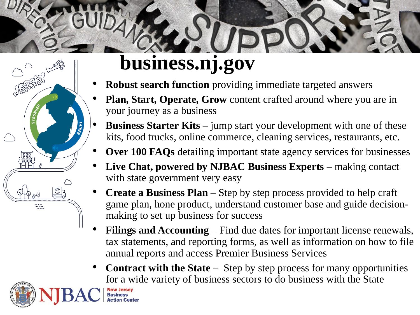# **business.nj.gov**



#### **Robust search function** providing immediate targeted answers

- **Plan, Start, Operate, Grow** content crafted around where you are in your journey as a business
- **Business Starter Kits** jump start your development with one of these kits, food trucks, online commerce, cleaning services, restaurants, etc.
- **Over 100 FAQs** detailing important state agency services for businesses
- **Live Chat, powered by NJBAC Business Experts**  making contact with state government very easy
- **Create a Business Plan**  Step by step process provided to help craft game plan, hone product, understand customer base and guide decisionmaking to set up business for success
- **Filings and Accounting**  Find due dates for important license renewals, tax statements, and reporting forms, as well as information on how to file annual reports and access Premier Business Services
- **Contract with the State**  Step by step process for many opportunities for a wide variety of business sectors to do business with the State

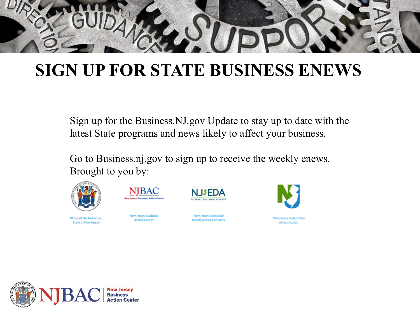

## **SIGN UP FOR STATE BUSINESS ENEWS**

Sign up for the Business.NJ.gov Update to stay up to date with the latest State programs and news likely to affect your business.

Go to Business.nj.gov to sign up to receive the weekly enews. Brought to [you by:](https://urldefense.com/v3/__https:/lnks.gd/l/eyJhbGciOiJIUzI1NiJ9.eyJidWxsZXRpbl9saW5rX2lkIjoxMzAsInVyaSI6ImJwMjpjbGljayIsImJ1bGxldGluX2lkIjoiMjAyMTA1MTIuNDAzNjA0ODEiLCJ1cmwiOiJodHRwczovL3d3dy5uai5nb3Yvc3RhdGUvYmFjL2JhYy5zaHRtbD91dG1fY2FtcGFpZ249MjAyMTA1MTJkaWdlc3QmdXRtX21lZGl1bT1lbWFpbCZ1dG1fc291cmNlPWdvdmRlbGl2ZXJ5In0.7skyR1p5MjjwZiBzpJAZ193lVcsnIPARzJO-0N7Ohdk/s/1168215856/br/106264202406-l__;!!J30X0ZrnC1oQtbA!cTMGs9jNTm-j4KLjyCekUN5RnehntixOEmWOwY4NItrCMwd0XrL2Ri4tjlNM954ah6mSBRgmiaM$)



NIBAC

Office of the Governor, **State of New Jersey** 

**New Jersey Business Action Center** 

**New Jersey Economic Development Authority** 



**New Jersey State Office** of Innovation

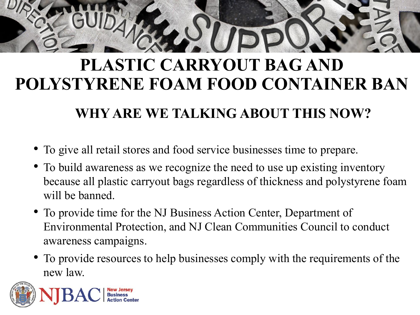# **PLASTIC CARRYOUT BAG AND POLYSTYRENE FOAM FOOD CONTAINER BAN**

#### **WHY ARE WE TALKING ABOUT THIS NOW?**

- To give all retail stores and food service businesses time to prepare.
- To build awareness as we recognize the need to use up existing inventory because all plastic carryout bags regardless of thickness and polystyrene foam will be banned.
- To provide time for the NJ Business Action Center, Department of Environmental Protection, and NJ Clean Communities Council to conduct awareness campaigns.
- To provide resources to help businesses comply with the requirements of the new law.

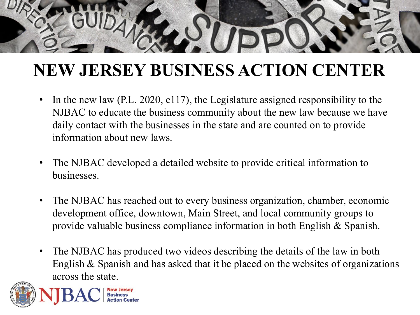# **NEW JERSEY BUSINESS ACTION CENTER**

- In the new law (P.L. 2020, c117), the Legislature assigned responsibility to the NJBAC to educate the business community about the new law because we have daily contact with the businesses in the state and are counted on to provide information about new laws.
- The NJBAC developed a detailed website to provide critical information to businesses.
- The NJBAC has reached out to every business organization, chamber, economic development office, downtown, Main Street, and local community groups to provide valuable business compliance information in both English & Spanish.
- The NJBAC has produced two videos describing the details of the law in both English & Spanish and has asked that it be placed on the websites of organizations across the state.

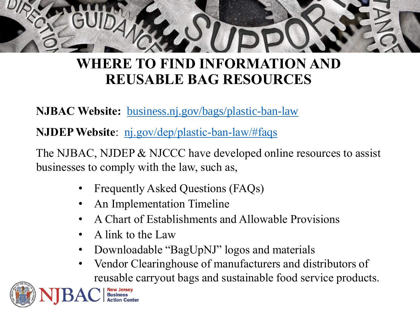

#### **WHERE TO FIND INFORMATION AND REUSABLE BAG RESOURCES**

**NJBAC Website:** [business.nj.gov/bags/plastic-ban-law](http://business.nj.gov/bags/plastic-ban-law)

**NJDEP Website:** <nj.gov/dep/plastic-ban-law/#faqs>

The NJBAC, NJDEP & NJCCC have developed online resources to assist businesses to comply with the law, such as,

- Frequently Asked Questions (FAQs)
- An Implementation Timeline
- A Chart of Establishments and Allowable Provisions
- A link to the Law
- Downloadable "BagUpNJ" logos and materials
- Vendor Clearinghouse of manufacturers and distributors of reusable carryout bags and sustainable food service products.

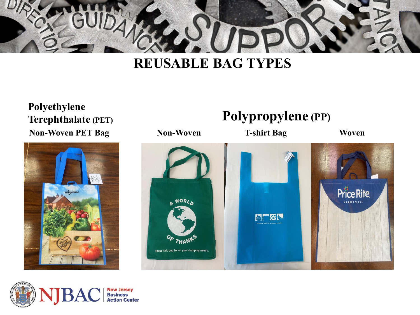

#### **REUSABLE BAG TYPES**

**Polyethylene Terephthalate (PET) Non-Woven PET Bag**





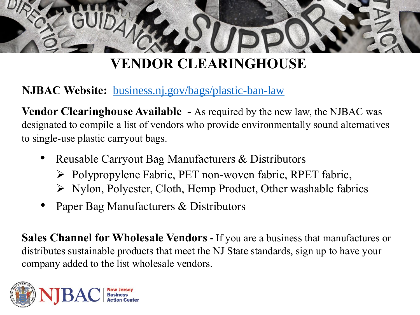

**NJBAC Website:** [business.nj.gov/bags/plastic-ban-law](http://business.nj.gov/bags/plastic-ban-law)

**Vendor Clearinghouse Available -** As required by the new law, the NJBAC was designated to compile a list of vendors who provide environmentally sound alternatives to single-use plastic carryout bags.

- Reusable Carryout Bag Manufacturers & Distributors
	- Polypropylene Fabric, PET non-woven fabric, RPET fabric,
	- $\triangleright$  Nylon, Polyester, Cloth, Hemp Product, Other washable fabrics
- Paper Bag Manufacturers & Distributors

**Sales Channel for Wholesale Vendors -** If you are a business that manufactures or distributes sustainable products that meet the NJ State standards, sign up to have your company added to the list wholesale vendors.

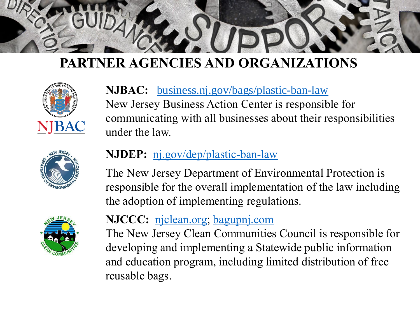





#### **NJBAC:** [business.nj.gov/bags/plastic-ban-law](http://business.nj.gov/bags/plastic-ban-law) New Jersey Business Action Center is responsible for communicating with all businesses about their responsibilities under the law.

#### **NJDEP:** [nj.gov/dep/plastic-ban-law](https://nj.gov/dep/plastic-ban-law/)

The New Jersey Department of Environmental Protection is responsible for the overall implementation of the law including the adoption of implementing regulations.

#### **NJCCC:** [njclean.org](http://njclean.org/); [bagupnj.com](http://bagupnj.com/)

The New Jersey Clean Communities Council is responsible for developing and implementing a Statewide public information and education program, including limited distribution of free reusable bags.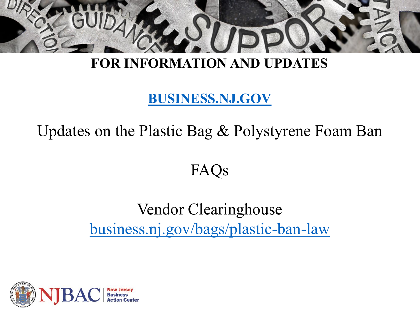

#### **FOR INFORMATION AND UPDATES**

#### **<BUSINESS.NJ.GOV>**

Updates on the Plastic Bag & Polystyrene Foam Ban

### FAQs

## Vendor Clearinghouse [business.nj.gov/bags/plastic-ban-law](http://business.nj.gov/bags/plastic-ban-law)